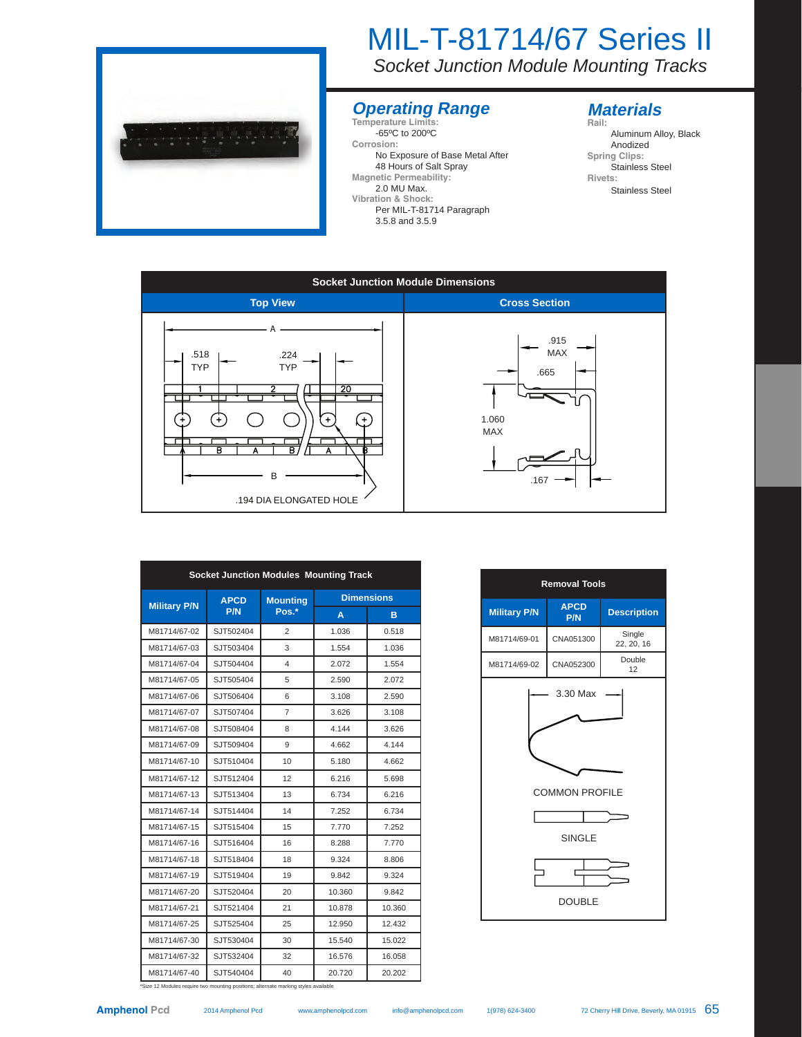

# MIL-T-81714/67 Series II

*Socket Junction Module Mounting Tracks* 

### **Operating Range Temperature Limits:**

-65ºC to 200ºC **Corrosion:** No Exposure of Base Metal After 48 Hours of Salt Spray **Magnetic Permeability:** 

2.0 MU Max. **Vibration & Shock:**  Per MIL-T-81714 Paragraph

#### 3.5.8 and 3.5.9

### **Materials**

**Rail:** Aluminum Alloy, Black Anodized **Spring Clips:**  Stainless Steel **Rivets:** Stainless Steel



| <b>Socket Junction Modules Mounting Track</b> |                           |                          |                   |        |  |
|-----------------------------------------------|---------------------------|--------------------------|-------------------|--------|--|
| <b>Military P/N</b>                           | <b>APCD</b><br><b>P/N</b> | <b>Mounting</b><br>Pos.* | <b>Dimensions</b> |        |  |
|                                               |                           |                          | Α                 | в      |  |
| M81714/67-02                                  | SJT502404                 | $\overline{c}$           | 1.036             | 0.518  |  |
| M81714/67-03                                  | SJT503404                 | 3                        | 1.554             | 1.036  |  |
| M81714/67-04                                  | SJT504404                 | 4                        | 2.072             | 1.554  |  |
| M81714/67-05                                  | SJT505404                 | 5                        | 2.590             | 2.072  |  |
| M81714/67-06                                  | SJT506404                 | 6                        | 3.108             | 2.590  |  |
| M81714/67-07                                  | SJT507404                 | 7                        | 3.626             | 3.108  |  |
| M81714/67-08                                  | SJT508404                 | 8                        | 4.144             | 3.626  |  |
| M81714/67-09                                  | SJT509404                 | 9                        | 4.662             | 4.144  |  |
| M81714/67-10                                  | SJT510404                 | 10                       | 5.180             | 4.662  |  |
| M81714/67-12                                  | SJT512404                 | 12                       | 6.216             | 5.698  |  |
| M81714/67-13                                  | SJT513404                 | 13                       | 6.734             | 6.216  |  |
| M81714/67-14                                  | SJT514404                 | 14                       | 7.252             | 6.734  |  |
| M81714/67-15                                  | SJT515404                 | 15                       | 7.770             | 7.252  |  |
| M81714/67-16                                  | SJT516404                 | 16                       | 8.288             | 7.770  |  |
| M81714/67-18                                  | SJT518404                 | 18                       | 9.324             | 8.806  |  |
| M81714/67-19                                  | SJT519404                 | 19                       | 9.842             | 9.324  |  |
| M81714/67-20                                  | SJT520404                 | 20                       | 10.360            | 9.842  |  |
| M81714/67-21                                  | SJT521404                 | 21                       | 10.878            | 10.360 |  |
| M81714/67-25                                  | SJT525404                 | 25                       | 12.950            | 12.432 |  |
| M81714/67-30                                  | SJT530404                 | 30                       | 15.540            | 15.022 |  |
| M81714/67-32                                  | SJT532404                 | 32                       | 16.576            | 16.058 |  |
| M81714/67-40                                  | SJT540404                 | 40                       | 20.720            | 20.202 |  |

| <b>Removal Tools</b>                                                |                    |                      |  |  |  |  |  |  |
|---------------------------------------------------------------------|--------------------|----------------------|--|--|--|--|--|--|
| <b>Military P/N</b>                                                 | <b>APCD</b><br>P/N | <b>Description</b>   |  |  |  |  |  |  |
| M81714/69-01                                                        | CNA051300          | Single<br>22, 20, 16 |  |  |  |  |  |  |
| M81714/69-02                                                        | CNA052300          | Double<br>12         |  |  |  |  |  |  |
| 3.30 Max<br><b>COMMON PROFILE</b><br><b>SINGLE</b><br><b>DOUBLE</b> |                    |                      |  |  |  |  |  |  |

\*Size 12 Modules require two mounting positions; alternate marking styles available